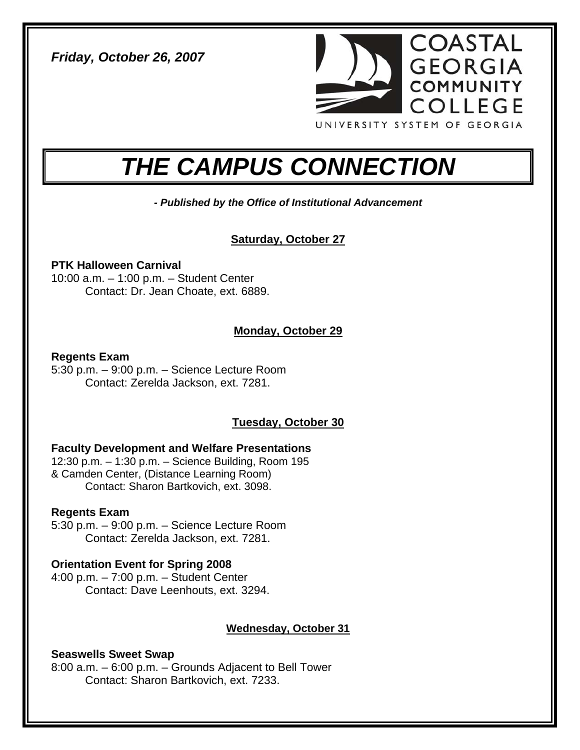*Friday, October 26, 2007* 



# *THE CAMPUS CONNECTION*

*- Published by the Office of Institutional Advancement* 

## **Saturday, October 27**

## **PTK Halloween Carnival**

10:00 a.m. – 1:00 p.m. – Student Center Contact: Dr. Jean Choate, ext. 6889.

## **Monday, October 29**

## **Regents Exam**

5:30 p.m. – 9:00 p.m. – Science Lecture Room Contact: Zerelda Jackson, ext. 7281.

## **Tuesday, October 30**

## **Faculty Development and Welfare Presentations**

12:30 p.m. – 1:30 p.m. – Science Building, Room 195 & Camden Center, (Distance Learning Room) Contact: Sharon Bartkovich, ext. 3098.

## **Regents Exam**

5:30 p.m. – 9:00 p.m. – Science Lecture Room Contact: Zerelda Jackson, ext. 7281.

## **Orientation Event for Spring 2008**

4:00 p.m. – 7:00 p.m. – Student Center Contact: Dave Leenhouts, ext. 3294.

## **Wednesday, October 31**

## **Seaswells Sweet Swap**

8:00 a.m. – 6:00 p.m. – Grounds Adjacent to Bell Tower Contact: Sharon Bartkovich, ext. 7233.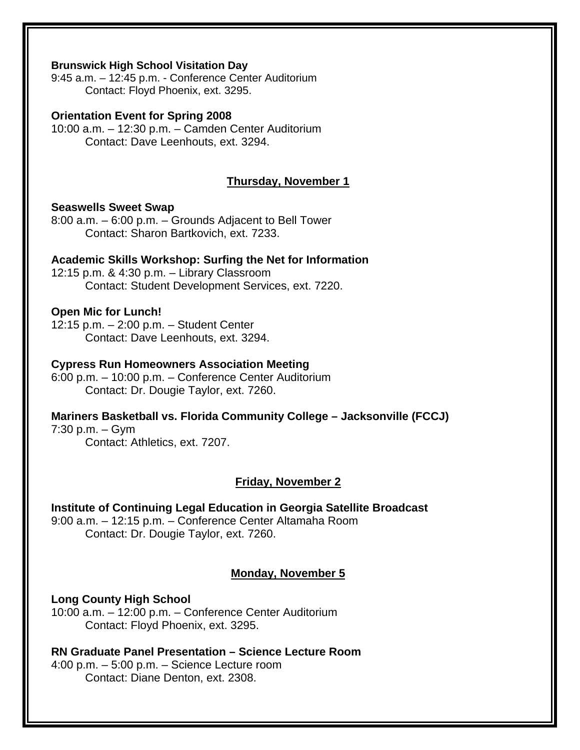#### **Brunswick High School Visitation Day**

9:45 a.m. – 12:45 p.m. - Conference Center Auditorium Contact: Floyd Phoenix, ext. 3295.

#### **Orientation Event for Spring 2008**

10:00 a.m. – 12:30 p.m. – Camden Center Auditorium Contact: Dave Leenhouts, ext. 3294.

#### **Thursday, November 1**

#### **Seaswells Sweet Swap**

8:00 a.m. – 6:00 p.m. – Grounds Adjacent to Bell Tower Contact: Sharon Bartkovich, ext. 7233.

#### **Academic Skills Workshop: Surfing the Net for Information**

12:15 p.m. & 4:30 p.m. – Library Classroom Contact: Student Development Services, ext. 7220.

#### **Open Mic for Lunch!**

12:15 p.m. – 2:00 p.m. – Student Center Contact: Dave Leenhouts, ext. 3294.

#### **Cypress Run Homeowners Association Meeting**

6:00 p.m. – 10:00 p.m. – Conference Center Auditorium Contact: Dr. Dougie Taylor, ext. 7260.

## **Mariners Basketball vs. Florida Community College – Jacksonville (FCCJ)**

7:30 p.m. – Gym Contact: Athletics, ext. 7207.

#### **Friday, November 2**

## **Institute of Continuing Legal Education in Georgia Satellite Broadcast**  9:00 a.m. – 12:15 p.m. – Conference Center Altamaha Room

Contact: Dr. Dougie Taylor, ext. 7260.

#### **Monday, November 5**

#### **Long County High School**

10:00 a.m. – 12:00 p.m. – Conference Center Auditorium Contact: Floyd Phoenix, ext. 3295.

**RN Graduate Panel Presentation – Science Lecture Room**  4:00 p.m. – 5:00 p.m. – Science Lecture room Contact: Diane Denton, ext. 2308.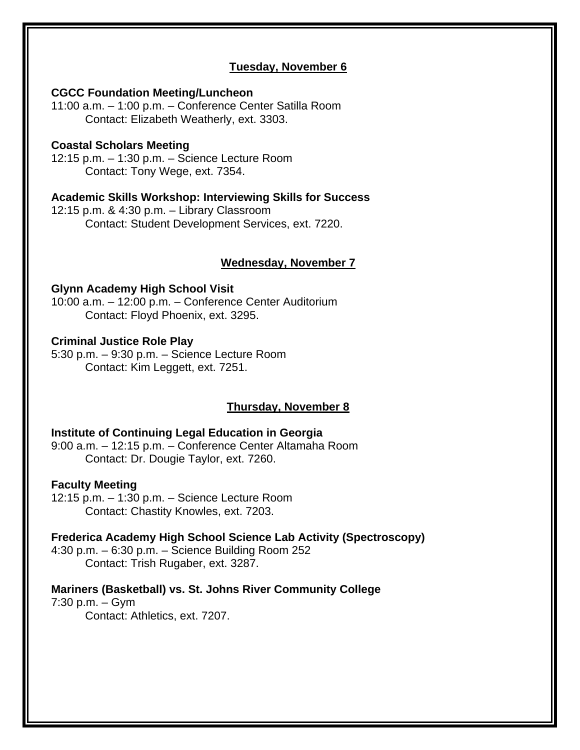## **Tuesday, November 6**

#### **CGCC Foundation Meeting/Luncheon**

11:00 a.m. – 1:00 p.m. – Conference Center Satilla Room Contact: Elizabeth Weatherly, ext. 3303.

#### **Coastal Scholars Meeting**

12:15 p.m. – 1:30 p.m. – Science Lecture Room Contact: Tony Wege, ext. 7354.

#### **Academic Skills Workshop: Interviewing Skills for Success**

12:15 p.m. & 4:30 p.m. – Library Classroom Contact: Student Development Services, ext. 7220.

#### **Wednesday, November 7**

#### **Glynn Academy High School Visit**

10:00 a.m. – 12:00 p.m. – Conference Center Auditorium Contact: Floyd Phoenix, ext. 3295.

#### **Criminal Justice Role Play**

5:30 p.m. – 9:30 p.m. – Science Lecture Room Contact: Kim Leggett, ext. 7251.

#### **Thursday, November 8**

## **Institute of Continuing Legal Education in Georgia**

9:00 a.m. – 12:15 p.m. – Conference Center Altamaha Room Contact: Dr. Dougie Taylor, ext. 7260.

#### **Faculty Meeting**

12:15 p.m. – 1:30 p.m. – Science Lecture Room Contact: Chastity Knowles, ext. 7203.

#### **Frederica Academy High School Science Lab Activity (Spectroscopy)**

4:30 p.m. – 6:30 p.m. – Science Building Room 252 Contact: Trish Rugaber, ext. 3287.

## **Mariners (Basketball) vs. St. Johns River Community College**

7:30 p.m. – Gym Contact: Athletics, ext. 7207.